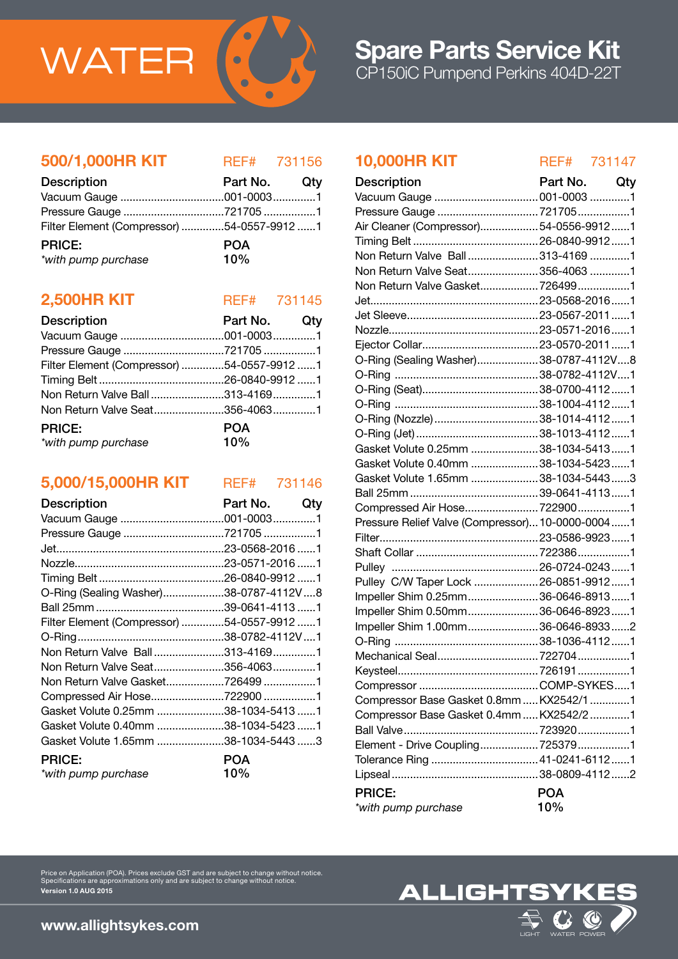

### 500/1,000HR KIT REF# 731156

| <b>Description</b>                         | Part No. Qty |  |
|--------------------------------------------|--------------|--|
|                                            |              |  |
|                                            |              |  |
| Filter Element (Compressor) 54-0557-9912 1 |              |  |
| <b>PRICE:</b>                              | <b>POA</b>   |  |
| *with pump purchase                        | 10%          |  |

### **2,500HR KIT** REF# 731145

| <b>Description</b>                         | Part No. Qty      |  |
|--------------------------------------------|-------------------|--|
|                                            |                   |  |
|                                            |                   |  |
| Filter Element (Compressor) 54-0557-9912 1 |                   |  |
|                                            |                   |  |
| Non Return Valve Ball313-41691             |                   |  |
| Non Return Valve Seat356-40631             |                   |  |
| <b>PRICE:</b><br>*with pump purchase       | <b>POA</b><br>10% |  |

### 5,000/15,000HR KIT REF# 731146

| Description                                | Part No. | Qty |
|--------------------------------------------|----------|-----|
|                                            |          |     |
| Pressure Gauge 721705 1                    |          |     |
|                                            |          |     |
|                                            |          |     |
|                                            |          |     |
| O-Ring (Sealing Washer)38-0787-4112V8      |          |     |
|                                            |          |     |
| Filter Element (Compressor) 54-0557-9912 1 |          |     |
|                                            |          |     |
| Non Return Valve Ball313-41691             |          |     |
| Non Return Valve Seat356-40631             |          |     |
| Non Return Valve Gasket726499 1            |          |     |
| Compressed Air Hose722900 1                |          |     |
| Gasket Volute 0.25mm 38-1034-5413 1        |          |     |
| Gasket Volute 0.40mm 38-1034-5423 1        |          |     |
| Gasket Volute 1.65mm 38-1034-5443 3        |          |     |
| <b>PRICE:</b>                              | POA      |     |
| *with pump purchase                        | 10%      |     |

Price on Application (POA). Prices exclude GST and are subject to change without notice. Specifications are approximations only and are subject to change without notice.

### 10,000HR KIT REF# 731147

| <b>Description</b>                               | Part No. Qty |  |
|--------------------------------------------------|--------------|--|
| Vacuum Gauge  001-0003 1                         |              |  |
|                                                  |              |  |
| Air Cleaner (Compressor)54-0556-99121            |              |  |
|                                                  |              |  |
| Non Return Valve Ball313-41691                   |              |  |
| Non Return Valve Seat356-4063 1                  |              |  |
| Non Return Valve Gasket7264991                   |              |  |
|                                                  |              |  |
|                                                  |              |  |
|                                                  |              |  |
|                                                  |              |  |
| O-Ring (Sealing Washer)38-0787-4112V8            |              |  |
|                                                  |              |  |
|                                                  |              |  |
|                                                  |              |  |
| O-Ring (Nozzle)38-1014-41121                     |              |  |
|                                                  |              |  |
| Gasket Volute 0.25mm 38-1034-54131               |              |  |
| Gasket Volute 0.40mm 38-1034-54231               |              |  |
| Gasket Volute 1.65mm 38-1034-54433               |              |  |
|                                                  |              |  |
|                                                  |              |  |
| Pressure Relief Valve (Compressor) 10-0000-00041 |              |  |
|                                                  |              |  |
|                                                  |              |  |
|                                                  |              |  |
| Pulley C/W Taper Lock  26-0851-9912  1           |              |  |
| Impeller Shim 0.25mm 36-0646-89131               |              |  |
| Impeller Shim 0.50mm 36-0646-89231               |              |  |
| Impeller Shim 1.00mm36-0646-89332                |              |  |
|                                                  |              |  |
|                                                  |              |  |
|                                                  |              |  |
|                                                  |              |  |
| Compressor Base Gasket 0.8mm  KX2542/1 1         |              |  |
| Compressor Base Gasket 0.4mm  KX2542/2 1         |              |  |
|                                                  |              |  |
| Element - Drive Coupling7253791                  |              |  |
|                                                  |              |  |
|                                                  |              |  |
| <b>PRICE:</b>                                    | <b>POA</b>   |  |
| *with pump purchase                              | 10%          |  |

## **ALLIGHTSY**

www.allightsykes.com

Version 1.0 AUG 2015